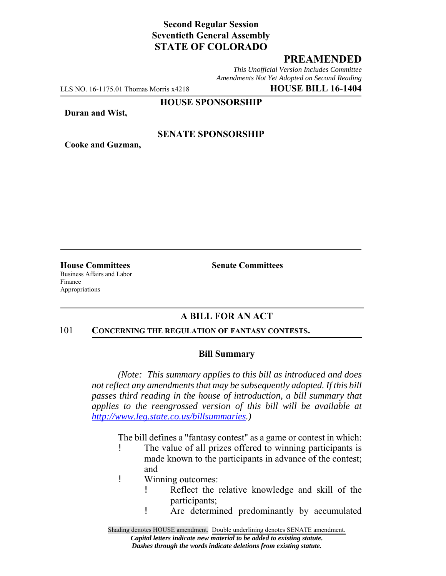# **Second Regular Session Seventieth General Assembly STATE OF COLORADO**

# **PREAMENDED**

*This Unofficial Version Includes Committee Amendments Not Yet Adopted on Second Reading*

LLS NO. 16-1175.01 Thomas Morris x4218 **HOUSE BILL 16-1404**

#### **HOUSE SPONSORSHIP**

**Duran and Wist,**

**Cooke and Guzman,**

## **SENATE SPONSORSHIP**

**House Committees Senate Committees** Business Affairs and Labor Finance

Appropriations

## **A BILL FOR AN ACT**

#### 101 **CONCERNING THE REGULATION OF FANTASY CONTESTS.**

### **Bill Summary**

*(Note: This summary applies to this bill as introduced and does not reflect any amendments that may be subsequently adopted. If this bill passes third reading in the house of introduction, a bill summary that applies to the reengrossed version of this bill will be available at http://www.leg.state.co.us/billsummaries.)*

The bill defines a "fantasy contest" as a game or contest in which:

- ! The value of all prizes offered to winning participants is made known to the participants in advance of the contest; and
- ! Winning outcomes:
	- ! Reflect the relative knowledge and skill of the participants;
	- ! Are determined predominantly by accumulated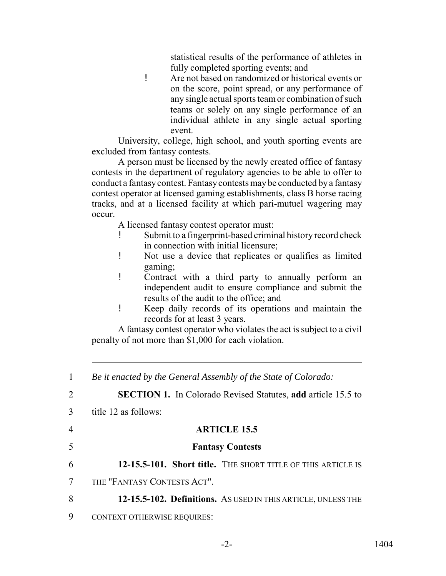statistical results of the performance of athletes in fully completed sporting events; and

! Are not based on randomized or historical events or on the score, point spread, or any performance of any single actual sports team or combination of such teams or solely on any single performance of an individual athlete in any single actual sporting event.

University, college, high school, and youth sporting events are excluded from fantasy contests.

A person must be licensed by the newly created office of fantasy contests in the department of regulatory agencies to be able to offer to conduct a fantasy contest. Fantasy contests may be conducted by a fantasy contest operator at licensed gaming establishments, class B horse racing tracks, and at a licensed facility at which pari-mutuel wagering may occur.

A licensed fantasy contest operator must:

- Submit to a fingerprint-based criminal history record check in connection with initial licensure;
- ! Not use a device that replicates or qualifies as limited gaming;
- ! Contract with a third party to annually perform an independent audit to ensure compliance and submit the results of the audit to the office; and
- ! Keep daily records of its operations and maintain the records for at least 3 years.

A fantasy contest operator who violates the act is subject to a civil penalty of not more than \$1,000 for each violation.

| $\mathbf{1}$   | Be it enacted by the General Assembly of the State of Colorado:     |
|----------------|---------------------------------------------------------------------|
| 2              | <b>SECTION 1.</b> In Colorado Revised Statutes, add article 15.5 to |
| 3              | title 12 as follows:                                                |
| $\overline{4}$ | <b>ARTICLE 15.5</b>                                                 |
| 5              | <b>Fantasy Contests</b>                                             |
| 6              | 12-15.5-101. Short title. THE SHORT TITLE OF THIS ARTICLE IS        |
| 7              | THE "FANTASY CONTESTS ACT".                                         |
| 8              | 12-15.5-102. Definitions. AS USED IN THIS ARTICLE, UNLESS THE       |
| 9              | <b>CONTEXT OTHERWISE REQUIRES:</b>                                  |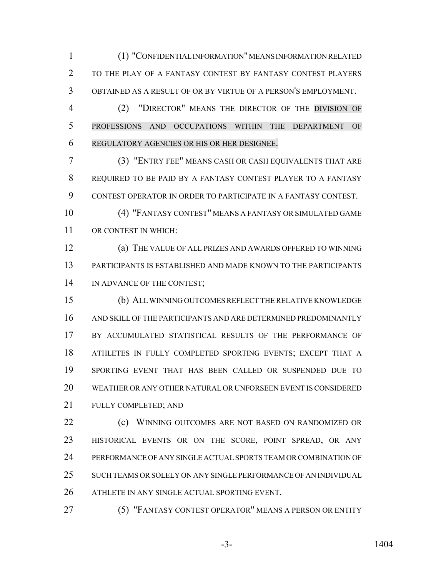(1) "CONFIDENTIAL INFORMATION" MEANS INFORMATION RELATED TO THE PLAY OF A FANTASY CONTEST BY FANTASY CONTEST PLAYERS OBTAINED AS A RESULT OF OR BY VIRTUE OF A PERSON'S EMPLOYMENT.

 (2) "DIRECTOR" MEANS THE DIRECTOR OF THE DIVISION OF PROFESSIONS AND OCCUPATIONS WITHIN THE DEPARTMENT OF REGULATORY AGENCIES OR HIS OR HER DESIGNEE.

 (3) "ENTRY FEE" MEANS CASH OR CASH EQUIVALENTS THAT ARE REQUIRED TO BE PAID BY A FANTASY CONTEST PLAYER TO A FANTASY CONTEST OPERATOR IN ORDER TO PARTICIPATE IN A FANTASY CONTEST.

 (4) "FANTASY CONTEST" MEANS A FANTASY OR SIMULATED GAME OR CONTEST IN WHICH:

 (a) THE VALUE OF ALL PRIZES AND AWARDS OFFERED TO WINNING PARTICIPANTS IS ESTABLISHED AND MADE KNOWN TO THE PARTICIPANTS 14 IN ADVANCE OF THE CONTEST;

 (b) ALL WINNING OUTCOMES REFLECT THE RELATIVE KNOWLEDGE AND SKILL OF THE PARTICIPANTS AND ARE DETERMINED PREDOMINANTLY 17 BY ACCUMULATED STATISTICAL RESULTS OF THE PERFORMANCE OF ATHLETES IN FULLY COMPLETED SPORTING EVENTS; EXCEPT THAT A SPORTING EVENT THAT HAS BEEN CALLED OR SUSPENDED DUE TO WEATHER OR ANY OTHER NATURAL OR UNFORSEEN EVENT IS CONSIDERED FULLY COMPLETED; AND

**(c) WINNING OUTCOMES ARE NOT BASED ON RANDOMIZED OR**  HISTORICAL EVENTS OR ON THE SCORE, POINT SPREAD, OR ANY PERFORMANCE OF ANY SINGLE ACTUAL SPORTS TEAM OR COMBINATION OF SUCH TEAMS OR SOLELY ON ANY SINGLE PERFORMANCE OF AN INDIVIDUAL ATHLETE IN ANY SINGLE ACTUAL SPORTING EVENT.

(5) "FANTASY CONTEST OPERATOR" MEANS A PERSON OR ENTITY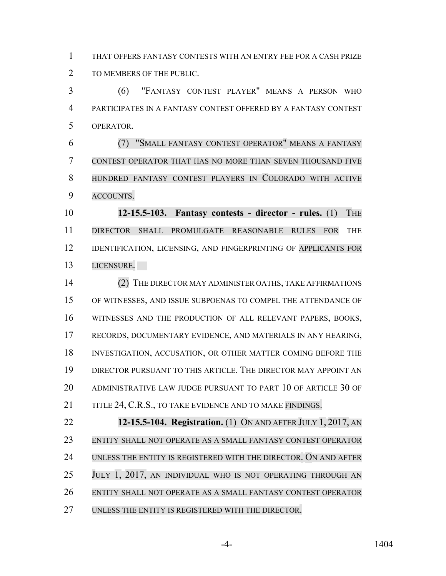THAT OFFERS FANTASY CONTESTS WITH AN ENTRY FEE FOR A CASH PRIZE TO MEMBERS OF THE PUBLIC.

 (6) "FANTASY CONTEST PLAYER" MEANS A PERSON WHO PARTICIPATES IN A FANTASY CONTEST OFFERED BY A FANTASY CONTEST OPERATOR.

 (7) "SMALL FANTASY CONTEST OPERATOR" MEANS A FANTASY CONTEST OPERATOR THAT HAS NO MORE THAN SEVEN THOUSAND FIVE HUNDRED FANTASY CONTEST PLAYERS IN COLORADO WITH ACTIVE ACCOUNTS.

 **12-15.5-103. Fantasy contests - director - rules.** (1) THE DIRECTOR SHALL PROMULGATE REASONABLE RULES FOR THE 12 IDENTIFICATION, LICENSING, AND FINGERPRINTING OF APPLICANTS FOR LICENSURE.

 (2) THE DIRECTOR MAY ADMINISTER OATHS, TAKE AFFIRMATIONS OF WITNESSES, AND ISSUE SUBPOENAS TO COMPEL THE ATTENDANCE OF WITNESSES AND THE PRODUCTION OF ALL RELEVANT PAPERS, BOOKS, RECORDS, DOCUMENTARY EVIDENCE, AND MATERIALS IN ANY HEARING, INVESTIGATION, ACCUSATION, OR OTHER MATTER COMING BEFORE THE DIRECTOR PURSUANT TO THIS ARTICLE. THE DIRECTOR MAY APPOINT AN ADMINISTRATIVE LAW JUDGE PURSUANT TO PART 10 OF ARTICLE 30 OF 21 TITLE 24, C.R.S., TO TAKE EVIDENCE AND TO MAKE FINDINGS.

 **12-15.5-104. Registration.** (1) ON AND AFTER JULY 1, 2017, AN ENTITY SHALL NOT OPERATE AS A SMALL FANTASY CONTEST OPERATOR UNLESS THE ENTITY IS REGISTERED WITH THE DIRECTOR. ON AND AFTER 25 JULY 1, 2017, AN INDIVIDUAL WHO IS NOT OPERATING THROUGH AN ENTITY SHALL NOT OPERATE AS A SMALL FANTASY CONTEST OPERATOR UNLESS THE ENTITY IS REGISTERED WITH THE DIRECTOR.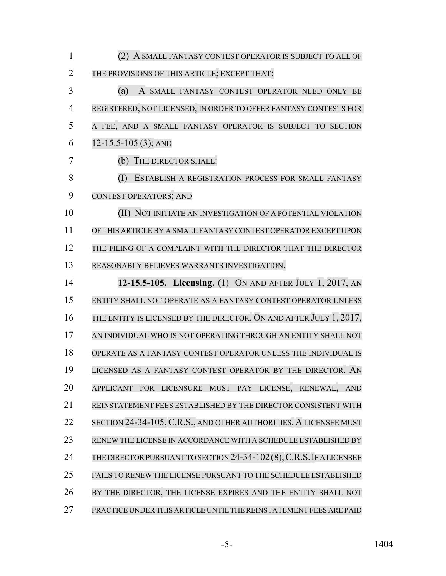| $\mathbf{1}$   | (2) A SMALL FANTASY CONTEST OPERATOR IS SUBJECT TO ALL OF            |
|----------------|----------------------------------------------------------------------|
| $\overline{2}$ | THE PROVISIONS OF THIS ARTICLE; EXCEPT THAT:                         |
| 3              | (a)<br>A SMALL FANTASY CONTEST OPERATOR NEED ONLY BE                 |
| 4              | REGISTERED, NOT LICENSED, IN ORDER TO OFFER FANTASY CONTESTS FOR     |
| 5              | A FEE, AND A SMALL FANTASY OPERATOR IS SUBJECT TO SECTION            |
| 6              | $12-15.5-105(3)$ ; AND                                               |
| 7              | (b) THE DIRECTOR SHALL:                                              |
| 8              | (I)<br>ESTABLISH A REGISTRATION PROCESS FOR SMALL FANTASY            |
| 9              | <b>CONTEST OPERATORS; AND</b>                                        |
| 10             | (II) NOT INITIATE AN INVESTIGATION OF A POTENTIAL VIOLATION          |
| 11             | OF THIS ARTICLE BY A SMALL FANTASY CONTEST OPERATOR EXCEPT UPON      |
| 12             | THE FILING OF A COMPLAINT WITH THE DIRECTOR THAT THE DIRECTOR        |
| 13             | REASONABLY BELIEVES WARRANTS INVESTIGATION.                          |
| 14             | 12-15.5-105. Licensing. (1) ON AND AFTER JULY 1, 2017, AN            |
| 15             | ENTITY SHALL NOT OPERATE AS A FANTASY CONTEST OPERATOR UNLESS        |
| 16             | THE ENTITY IS LICENSED BY THE DIRECTOR. ON AND AFTER JULY 1, 2017,   |
| 17             | AN INDIVIDUAL WHO IS NOT OPERATING THROUGH AN ENTITY SHALL NOT       |
| 18             | OPERATE AS A FANTASY CONTEST OPERATOR UNLESS THE INDIVIDUAL IS       |
| 19             | LICENSED AS A FANTASY CONTEST OPERATOR BY THE DIRECTOR. AN           |
| 20             | APPLICANT FOR LICENSURE MUST PAY LICENSE, RENEWAL, AND               |
| 21             | REINSTATEMENT FEES ESTABLISHED BY THE DIRECTOR CONSISTENT WITH       |
| 22             | SECTION 24-34-105, C.R.S., AND OTHER AUTHORITIES. A LICENSEE MUST    |
| 23             | RENEW THE LICENSE IN ACCORDANCE WITH A SCHEDULE ESTABLISHED BY       |
| 24             | THE DIRECTOR PURSUANT TO SECTION 24-34-102 (8), C.R.S. IF A LICENSEE |
| 25             | FAILS TO RENEW THE LICENSE PURSUANT TO THE SCHEDULE ESTABLISHED      |
| 26             | BY THE DIRECTOR, THE LICENSE EXPIRES AND THE ENTITY SHALL NOT        |
| 27             | PRACTICE UNDER THIS ARTICLE UNTIL THE REINSTATEMENT FEES ARE PAID    |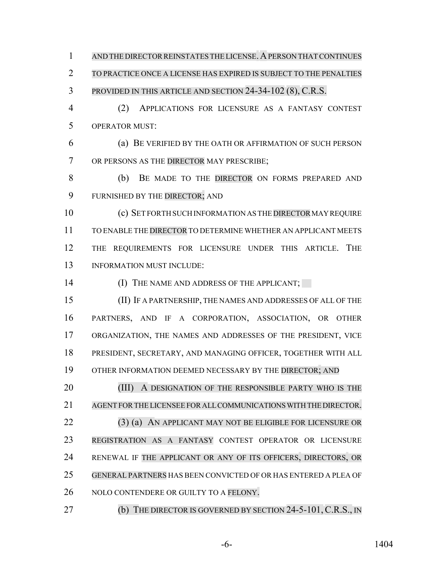1 AND THE DIRECTOR REINSTATES THE LICENSE. A PERSON THAT CONTINUES

TO PRACTICE ONCE A LICENSE HAS EXPIRED IS SUBJECT TO THE PENALTIES

## PROVIDED IN THIS ARTICLE AND SECTION 24-34-102 (8), C.R.S.

 (2) APPLICATIONS FOR LICENSURE AS A FANTASY CONTEST OPERATOR MUST:

 (a) BE VERIFIED BY THE OATH OR AFFIRMATION OF SUCH PERSON 7 OR PERSONS AS THE DIRECTOR MAY PRESCRIBE;

 (b) BE MADE TO THE DIRECTOR ON FORMS PREPARED AND FURNISHED BY THE DIRECTOR; AND

10 (c) SET FORTH SUCH INFORMATION AS THE DIRECTOR MAY REQUIRE TO ENABLE THE DIRECTOR TO DETERMINE WHETHER AN APPLICANT MEETS THE REQUIREMENTS FOR LICENSURE UNDER THIS ARTICLE. THE INFORMATION MUST INCLUDE:

14 (I) THE NAME AND ADDRESS OF THE APPLICANT;

 (II) IF A PARTNERSHIP, THE NAMES AND ADDRESSES OF ALL OF THE PARTNERS, AND IF A CORPORATION, ASSOCIATION, OR OTHER ORGANIZATION, THE NAMES AND ADDRESSES OF THE PRESIDENT, VICE PRESIDENT, SECRETARY, AND MANAGING OFFICER, TOGETHER WITH ALL OTHER INFORMATION DEEMED NECESSARY BY THE DIRECTOR; AND

20 (III) A DESIGNATION OF THE RESPONSIBLE PARTY WHO IS THE AGENT FORTHE LICENSEE FOR ALL COMMUNICATIONS WITH THE DIRECTOR. (3) (a) AN APPLICANT MAY NOT BE ELIGIBLE FOR LICENSURE OR REGISTRATION AS A FANTASY CONTEST OPERATOR OR LICENSURE RENEWAL IF THE APPLICANT OR ANY OF ITS OFFICERS, DIRECTORS, OR GENERAL PARTNERS HAS BEEN CONVICTED OF OR HAS ENTERED A PLEA OF 26 NOLO CONTENDERE OR GUILTY TO A FELONY.

**(b)** THE DIRECTOR IS GOVERNED BY SECTION 24-5-101, C.R.S., IN

-6- 1404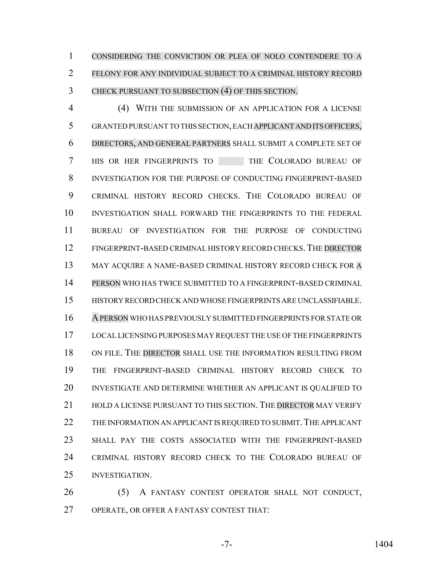CONSIDERING THE CONVICTION OR PLEA OF NOLO CONTENDERE TO A FELONY FOR ANY INDIVIDUAL SUBJECT TO A CRIMINAL HISTORY RECORD CHECK PURSUANT TO SUBSECTION (4) OF THIS SECTION.

 (4) WITH THE SUBMISSION OF AN APPLICATION FOR A LICENSE GRANTED PURSUANT TO THIS SECTION, EACH APPLICANT AND ITS OFFICERS, DIRECTORS, AND GENERAL PARTNERS SHALL SUBMIT A COMPLETE SET OF 7 HIS OR HER FINGERPRINTS TO THE COLORADO BUREAU OF INVESTIGATION FOR THE PURPOSE OF CONDUCTING FINGERPRINT-BASED CRIMINAL HISTORY RECORD CHECKS. THE COLORADO BUREAU OF INVESTIGATION SHALL FORWARD THE FINGERPRINTS TO THE FEDERAL BUREAU OF INVESTIGATION FOR THE PURPOSE OF CONDUCTING FINGERPRINT-BASED CRIMINAL HISTORY RECORD CHECKS.THE DIRECTOR 13 MAY ACQUIRE A NAME-BASED CRIMINAL HISTORY RECORD CHECK FOR A PERSON WHO HAS TWICE SUBMITTED TO A FINGERPRINT-BASED CRIMINAL HISTORY RECORD CHECK AND WHOSE FINGERPRINTS ARE UNCLASSIFIABLE. APERSON WHO HAS PREVIOUSLY SUBMITTED FINGERPRINTS FOR STATE OR LOCAL LICENSING PURPOSES MAY REQUEST THE USE OF THE FINGERPRINTS ON FILE. THE DIRECTOR SHALL USE THE INFORMATION RESULTING FROM THE FINGERPRINT-BASED CRIMINAL HISTORY RECORD CHECK TO INVESTIGATE AND DETERMINE WHETHER AN APPLICANT IS QUALIFIED TO HOLD A LICENSE PURSUANT TO THIS SECTION. THE DIRECTOR MAY VERIFY 22 THE INFORMATION AN APPLICANT IS REQUIRED TO SUBMIT. THE APPLICANT SHALL PAY THE COSTS ASSOCIATED WITH THE FINGERPRINT-BASED CRIMINAL HISTORY RECORD CHECK TO THE COLORADO BUREAU OF INVESTIGATION.

 (5) A FANTASY CONTEST OPERATOR SHALL NOT CONDUCT, OPERATE, OR OFFER A FANTASY CONTEST THAT: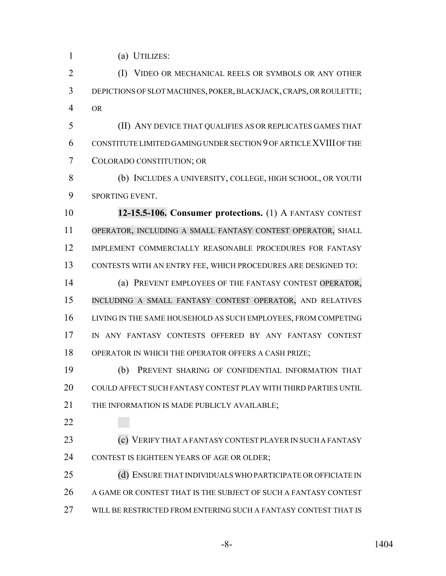(a) UTILIZES:

 (I) VIDEO OR MECHANICAL REELS OR SYMBOLS OR ANY OTHER DEPICTIONS OF SLOT MACHINES, POKER, BLACKJACK, CRAPS, OR ROULETTE; OR

 (II) ANY DEVICE THAT QUALIFIES AS OR REPLICATES GAMES THAT CONSTITUTE LIMITED GAMING UNDER SECTION 9 OF ARTICLE XVIII OF THE COLORADO CONSTITUTION; OR

 (b) INCLUDES A UNIVERSITY, COLLEGE, HIGH SCHOOL, OR YOUTH SPORTING EVENT.

 **12-15.5-106. Consumer protections.** (1) A FANTASY CONTEST OPERATOR, INCLUDING A SMALL FANTASY CONTEST OPERATOR, SHALL IMPLEMENT COMMERCIALLY REASONABLE PROCEDURES FOR FANTASY CONTESTS WITH AN ENTRY FEE, WHICH PROCEDURES ARE DESIGNED TO:

 (a) PREVENT EMPLOYEES OF THE FANTASY CONTEST OPERATOR, INCLUDING A SMALL FANTASY CONTEST OPERATOR, AND RELATIVES LIVING IN THE SAME HOUSEHOLD AS SUCH EMPLOYEES, FROM COMPETING IN ANY FANTASY CONTESTS OFFERED BY ANY FANTASY CONTEST OPERATOR IN WHICH THE OPERATOR OFFERS A CASH PRIZE;

 (b) PREVENT SHARING OF CONFIDENTIAL INFORMATION THAT COULD AFFECT SUCH FANTASY CONTEST PLAY WITH THIRD PARTIES UNTIL THE INFORMATION IS MADE PUBLICLY AVAILABLE;

 (c) VERIFY THAT A FANTASY CONTEST PLAYER IN SUCH A FANTASY CONTEST IS EIGHTEEN YEARS OF AGE OR OLDER;

25 (d) ENSURE THAT INDIVIDUALS WHO PARTICIPATE OR OFFICIATE IN A GAME OR CONTEST THAT IS THE SUBJECT OF SUCH A FANTASY CONTEST WILL BE RESTRICTED FROM ENTERING SUCH A FANTASY CONTEST THAT IS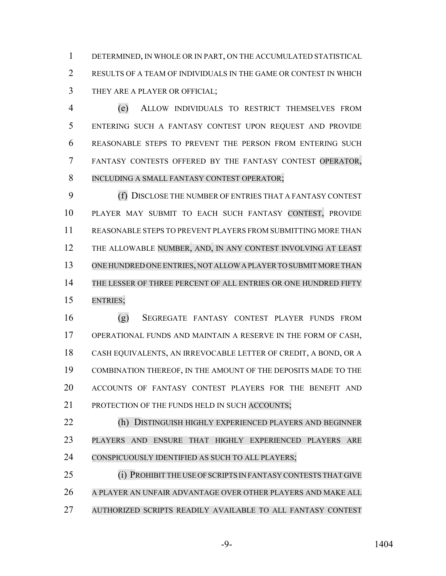DETERMINED, IN WHOLE OR IN PART, ON THE ACCUMULATED STATISTICAL RESULTS OF A TEAM OF INDIVIDUALS IN THE GAME OR CONTEST IN WHICH THEY ARE A PLAYER OR OFFICIAL;

 (e) ALLOW INDIVIDUALS TO RESTRICT THEMSELVES FROM ENTERING SUCH A FANTASY CONTEST UPON REQUEST AND PROVIDE REASONABLE STEPS TO PREVENT THE PERSON FROM ENTERING SUCH FANTASY CONTESTS OFFERED BY THE FANTASY CONTEST OPERATOR, INCLUDING A SMALL FANTASY CONTEST OPERATOR;

 (f) DISCLOSE THE NUMBER OF ENTRIES THAT A FANTASY CONTEST PLAYER MAY SUBMIT TO EACH SUCH FANTASY CONTEST, PROVIDE REASONABLE STEPS TO PREVENT PLAYERS FROM SUBMITTING MORE THAN THE ALLOWABLE NUMBER, AND, IN ANY CONTEST INVOLVING AT LEAST ONE HUNDRED ONE ENTRIES, NOT ALLOW A PLAYER TO SUBMIT MORE THAN 14 THE LESSER OF THREE PERCENT OF ALL ENTRIES OR ONE HUNDRED FIFTY ENTRIES;

 (g) SEGREGATE FANTASY CONTEST PLAYER FUNDS FROM OPERATIONAL FUNDS AND MAINTAIN A RESERVE IN THE FORM OF CASH, CASH EQUIVALENTS, AN IRREVOCABLE LETTER OF CREDIT, A BOND, OR A COMBINATION THEREOF, IN THE AMOUNT OF THE DEPOSITS MADE TO THE ACCOUNTS OF FANTASY CONTEST PLAYERS FOR THE BENEFIT AND 21 PROTECTION OF THE FUNDS HELD IN SUCH ACCOUNTS:

 (h) DISTINGUISH HIGHLY EXPERIENCED PLAYERS AND BEGINNER PLAYERS AND ENSURE THAT HIGHLY EXPERIENCED PLAYERS ARE CONSPICUOUSLY IDENTIFIED AS SUCH TO ALL PLAYERS;

 (i) PROHIBIT THE USE OF SCRIPTS IN FANTASY CONTESTS THAT GIVE A PLAYER AN UNFAIR ADVANTAGE OVER OTHER PLAYERS AND MAKE ALL AUTHORIZED SCRIPTS READILY AVAILABLE TO ALL FANTASY CONTEST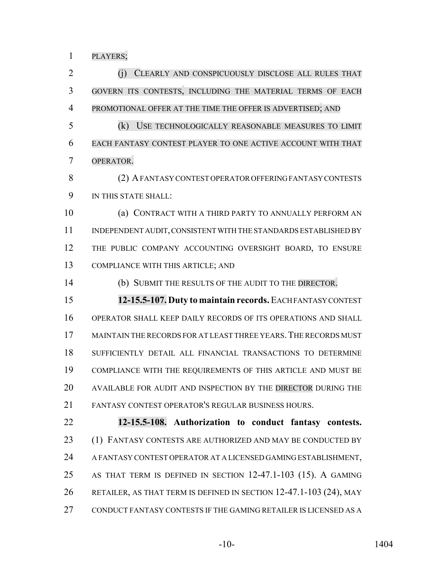PLAYERS;

 (j) CLEARLY AND CONSPICUOUSLY DISCLOSE ALL RULES THAT GOVERN ITS CONTESTS, INCLUDING THE MATERIAL TERMS OF EACH PROMOTIONAL OFFER AT THE TIME THE OFFER IS ADVERTISED; AND (k) USE TECHNOLOGICALLY REASONABLE MEASURES TO LIMIT EACH FANTASY CONTEST PLAYER TO ONE ACTIVE ACCOUNT WITH THAT OPERATOR. (2) A FANTASY CONTEST OPERATOR OFFERING FANTASY CONTESTS IN THIS STATE SHALL: (a) CONTRACT WITH A THIRD PARTY TO ANNUALLY PERFORM AN INDEPENDENT AUDIT, CONSISTENT WITH THE STANDARDS ESTABLISHED BY THE PUBLIC COMPANY ACCOUNTING OVERSIGHT BOARD, TO ENSURE COMPLIANCE WITH THIS ARTICLE; AND (b) SUBMIT THE RESULTS OF THE AUDIT TO THE DIRECTOR. **12-15.5-107. Duty to maintain records.** EACH FANTASY CONTEST OPERATOR SHALL KEEP DAILY RECORDS OF ITS OPERATIONS AND SHALL MAINTAIN THE RECORDS FOR AT LEAST THREE YEARS.THE RECORDS MUST SUFFICIENTLY DETAIL ALL FINANCIAL TRANSACTIONS TO DETERMINE COMPLIANCE WITH THE REQUIREMENTS OF THIS ARTICLE AND MUST BE AVAILABLE FOR AUDIT AND INSPECTION BY THE DIRECTOR DURING THE FANTASY CONTEST OPERATOR'S REGULAR BUSINESS HOURS. **12-15.5-108. Authorization to conduct fantasy contests.** (1) FANTASY CONTESTS ARE AUTHORIZED AND MAY BE CONDUCTED BY A FANTASY CONTEST OPERATOR AT A LICENSED GAMING ESTABLISHMENT, AS THAT TERM IS DEFINED IN SECTION 12-47.1-103 (15). A GAMING RETAILER, AS THAT TERM IS DEFINED IN SECTION 12-47.1-103 (24), MAY

CONDUCT FANTASY CONTESTS IF THE GAMING RETAILER IS LICENSED AS A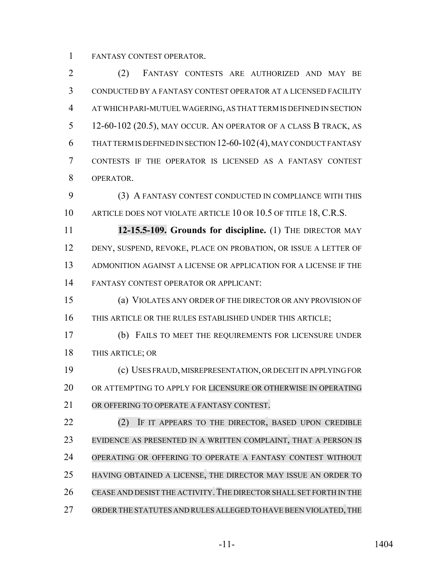FANTASY CONTEST OPERATOR.

 (2) FANTASY CONTESTS ARE AUTHORIZED AND MAY BE CONDUCTED BY A FANTASY CONTEST OPERATOR AT A LICENSED FACILITY AT WHICH PARI-MUTUEL WAGERING, AS THAT TERM IS DEFINED IN SECTION 12-60-102 (20.5), MAY OCCUR. AN OPERATOR OF A CLASS B TRACK, AS THAT TERM IS DEFINED IN SECTION 12-60-102(4), MAY CONDUCT FANTASY CONTESTS IF THE OPERATOR IS LICENSED AS A FANTASY CONTEST OPERATOR.

 (3) A FANTASY CONTEST CONDUCTED IN COMPLIANCE WITH THIS 10 ARTICLE DOES NOT VIOLATE ARTICLE 10 OR 10.5 OF TITLE 18, C.R.S.

 **12-15.5-109. Grounds for discipline.** (1) THE DIRECTOR MAY DENY, SUSPEND, REVOKE, PLACE ON PROBATION, OR ISSUE A LETTER OF ADMONITION AGAINST A LICENSE OR APPLICATION FOR A LICENSE IF THE FANTASY CONTEST OPERATOR OR APPLICANT:

 (a) VIOLATES ANY ORDER OF THE DIRECTOR OR ANY PROVISION OF THIS ARTICLE OR THE RULES ESTABLISHED UNDER THIS ARTICLE;

 (b) FAILS TO MEET THE REQUIREMENTS FOR LICENSURE UNDER THIS ARTICLE; OR

 (c) USES FRAUD, MISREPRESENTATION, OR DECEIT IN APPLYING FOR OR ATTEMPTING TO APPLY FOR LICENSURE OR OTHERWISE IN OPERATING OR OFFERING TO OPERATE A FANTASY CONTEST.

**(2)** IF IT APPEARS TO THE DIRECTOR, BASED UPON CREDIBLE EVIDENCE AS PRESENTED IN A WRITTEN COMPLAINT, THAT A PERSON IS OPERATING OR OFFERING TO OPERATE A FANTASY CONTEST WITHOUT HAVING OBTAINED A LICENSE, THE DIRECTOR MAY ISSUE AN ORDER TO 26 CEASE AND DESIST THE ACTIVITY. THE DIRECTOR SHALL SET FORTH IN THE ORDERTHE STATUTES AND RULES ALLEGED TO HAVE BEEN VIOLATED, THE